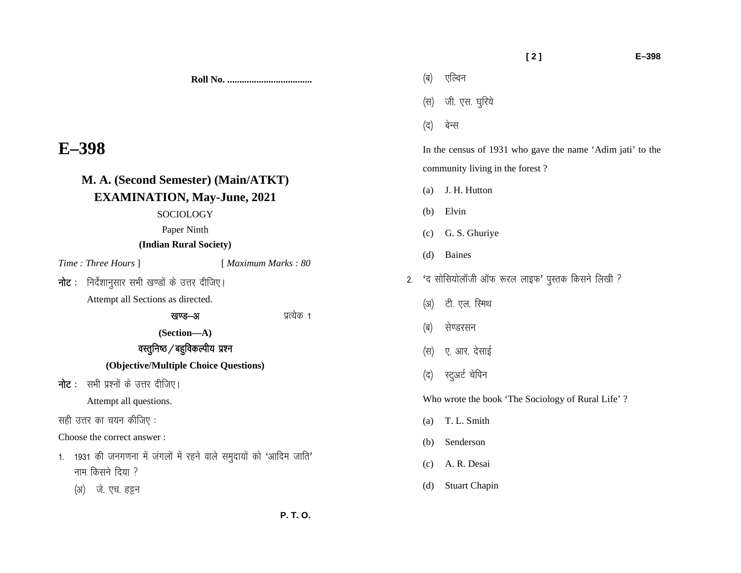**Roll No. ...................................** 

## **E–398**

| M. A. (Second Semester) (Main/ATKT)                                                                                        |                      |
|----------------------------------------------------------------------------------------------------------------------------|----------------------|
| <b>EXAMINATION, May-June, 2021</b>                                                                                         |                      |
| SOCIOLOGY                                                                                                                  |                      |
| Paper Ninth                                                                                                                |                      |
| (Indian Rural Society)                                                                                                     |                      |
| <i>Time: Three Hours</i> 1                                                                                                 | [ Maximum Marks : 80 |
| <b>नोट</b> : निर्देशानुसार सभी खण्डों के उत्तर दीजिए।                                                                      |                      |
| Attempt all Sections as directed.                                                                                          |                      |
| खण्ड—अ                                                                                                                     | प्रत्येक 1           |
| (Section-A)                                                                                                                |                      |
| वस्तुनिष्ठ / बहुविकल्पीय प्रश्न                                                                                            |                      |
| (Objective/Multiple Choice Questions)                                                                                      |                      |
| <b>नोट</b> :   सभी प्रश्नों के उत्तर दीजिए।                                                                                |                      |
| Attempt all questions.                                                                                                     |                      |
| सही उत्तर का चयन कीजिए :                                                                                                   |                      |
| Choose the correct answer:                                                                                                 |                      |
| 1931 की जनगणना में जंगलों में रहने वाले समुदायों को 'आदिम जाति'<br>1 <sup>1</sup><br>नाम किसने दिया ?<br>(अ) जे. एच. हट्टन |                      |
|                                                                                                                            |                      |

- (स) जी. एस. घुरिये (द) बेन्स In the census of 1931 who gave the name 'Adim jati' to the community living in the forest ? (a) J. H. Hutton (b) Elvin (c) G. S. Ghuriye (d) Baines 2. 'द सोसियोलॉजी ऑफ रूरल लाइफ' पुस्तक किसने लिखी ? (अ) टी. एल. रिमथ (ब) सेण्डरसन (स) ए. आर. देसाई
	- (द) स्टुअर्ट चेपिन

(ब) एल्विन

Who wrote the book 'The Sociology of Rural Life' ?

- (a) T. L. Smith
- (b) Senderson
- (c) A. R. Desai
- (d) Stuart Chapin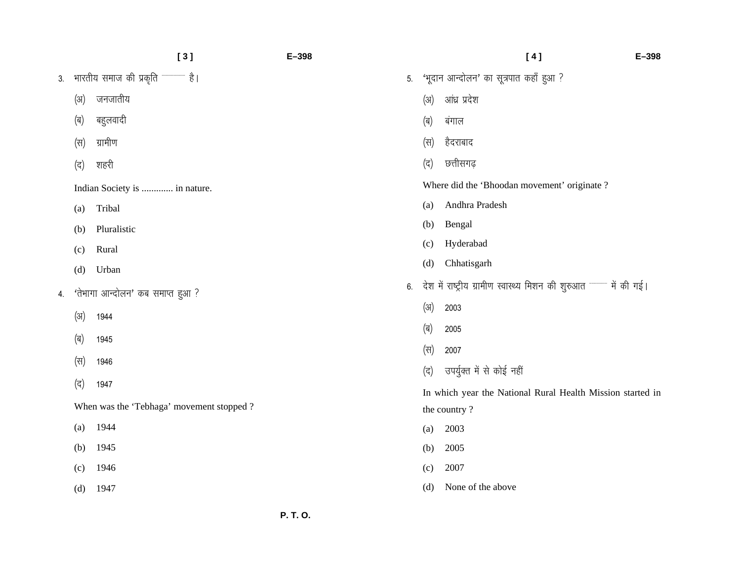|  |      | [3]                                       | $E-398$ |             | [4]                                                               | $E - 398$ |
|--|------|-------------------------------------------|---------|-------------|-------------------------------------------------------------------|-----------|
|  |      |                                           | 5.      |             | 'भूदान आन्दोलन' का सूत्रपात कहाँ हुआ ?                            |           |
|  | (3I) | जनजातीय                                   |         | (3I)        | आंध्र प्रदेश                                                      |           |
|  | (ब)  | बहुलवादी                                  |         | (ब)         | बंगाल                                                             |           |
|  | (स)  | ग्रामीण                                   |         | (स)         | हैदराबाद                                                          |           |
|  | (द)  | शहरी                                      |         | (द)         | छत्तीसगढ़                                                         |           |
|  |      | Indian Society is  in nature.             |         |             | Where did the 'Bhoodan movement' originate?                       |           |
|  | (a)  | Tribal                                    |         | (a)         | Andhra Pradesh                                                    |           |
|  | (b)  | Pluralistic                               |         | (b)         | Bengal                                                            |           |
|  | (c)  | Rural                                     |         | (c)         | Hyderabad                                                         |           |
|  | (d)  | Urban                                     |         | (d)         | Chhatisgarh                                                       |           |
|  |      | 4. 'तेभागा आन्दोलन' कब समाप्त हुआ ?       | 6.      |             | देश में राष्ट्रीय ग्रामीण स्वास्थ्य मिशन की शुरुआत लकर में की गई। |           |
|  | (3I) | 1944                                      |         | (3I)        | 2003                                                              |           |
|  | (ब)  | 1945                                      |         | (ब)         | 2005                                                              |           |
|  |      |                                           |         | (स)         | 2007                                                              |           |
|  | (स)  | 1946                                      |         | $(\vec{a})$ | उपर्युक्त में से कोई नहीं                                         |           |
|  | (द)  | 1947                                      |         |             | In which year the National Rural Health Mission started in        |           |
|  |      | When was the 'Tebhaga' movement stopped ? |         |             | the country?                                                      |           |
|  | (a)  | 1944                                      |         | (a)         | 2003                                                              |           |
|  | (b)  | 1945                                      |         | (b)         | 2005                                                              |           |
|  | (c)  | 1946                                      |         | (c)         | 2007                                                              |           |
|  | (d)  | 1947                                      |         | (d)         | None of the above                                                 |           |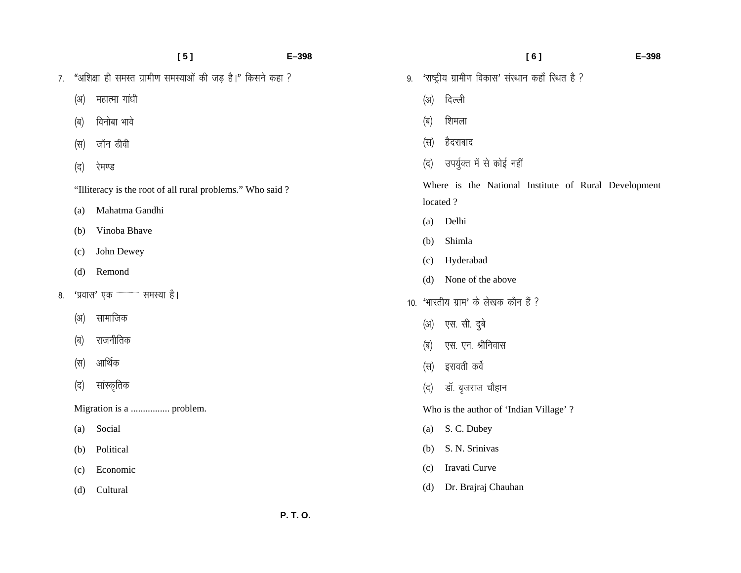|    |      | [5]                                                        | $E - 398$ |      |                                                      | [6] | $E - 398$ |
|----|------|------------------------------------------------------------|-----------|------|------------------------------------------------------|-----|-----------|
| 7. |      | "अशिक्षा ही समस्त ग्रामीण समस्याओं की जड़ है।" किसने कहा ? | 9.        |      | 'राष्ट्रीय ग्रामीण विकास' संस्थान कहाँ स्थित है ?    |     |           |
|    | (अ)  | महात्मा गांधी                                              |           | (3I) | दिल्ली                                               |     |           |
|    | (ब)  | विनोबा भावे                                                |           | (ब)  | शिमला                                                |     |           |
|    | (स)  | जॉन डीवी                                                   |           | (स)  | हैदराबाद                                             |     |           |
|    | (द)  | रेमण्ड                                                     |           | (द)  | उपर्युक्त में से कोई नहीं                            |     |           |
|    |      | "Illiteracy is the root of all rural problems." Who said ? |           |      | Where is the National Institute of Rural Development |     |           |
|    | (a)  | Mahatma Gandhi                                             |           |      | located?                                             |     |           |
|    |      |                                                            |           | (a)  | Delhi                                                |     |           |
|    | (b)  | Vinoba Bhave                                               |           | (b)  | Shimla                                               |     |           |
|    | (c)  | John Dewey                                                 |           | (c)  | Hyderabad                                            |     |           |
|    | (d)  | Remond                                                     |           | (d)  | None of the above                                    |     |           |
| 8. |      | समस्या है।<br>'प्रवास' एक                                  |           |      | 10. 'भारतीय ग्राम' के लेखक कौन हैं ?                 |     |           |
|    | (3I) | सामाजिक                                                    |           | (3I) | एस. सी. दुबे                                         |     |           |
|    | (ब)  | राजनीतिक                                                   |           | (ब)  | एस. एन. श्रीनिवास                                    |     |           |
|    | (स)  | आर्थिक                                                     |           | (स)  | इरावती कर्वे                                         |     |           |
|    | (द)  | सांस्कृतिक                                                 |           | (द)  | डॉ. बृजराज चौहान                                     |     |           |
|    |      | Migration is a  problem.                                   |           |      | Who is the author of 'Indian Village' ?              |     |           |
|    | (a)  | Social                                                     |           | (a)  | S. C. Dubey                                          |     |           |
|    | (b)  | Political                                                  |           | (b)  | S. N. Srinivas                                       |     |           |
|    | (c)  | Economic                                                   |           | (c)  | Iravati Curve                                        |     |           |
|    | (d)  | Cultural                                                   |           | (d)  | Dr. Brajraj Chauhan                                  |     |           |
|    |      |                                                            |           |      |                                                      |     |           |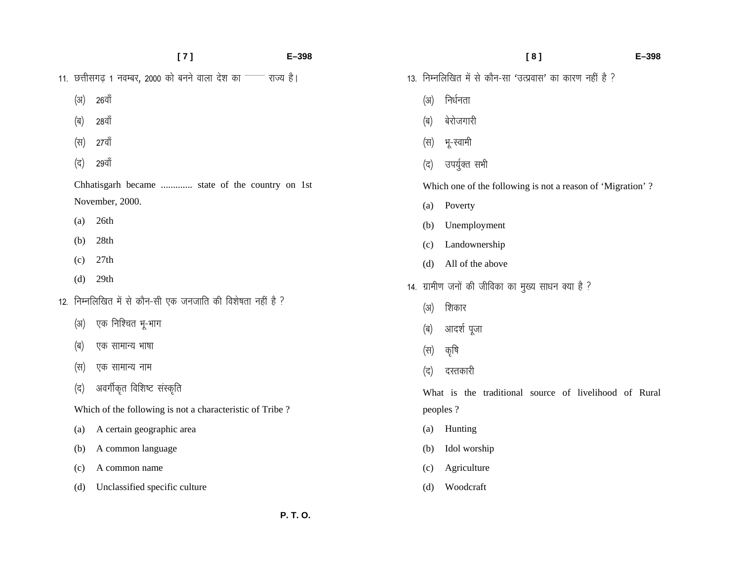|      | [7]                                                                              | $E - 398$ |     | [8]                                                        | $E - 398$ |
|------|----------------------------------------------------------------------------------|-----------|-----|------------------------------------------------------------|-----------|
|      | 11. छत्तीसगढ़ 1 नवम्बर, 2000 को बनने वाला देश का ******************************* | राज्य है। |     | 13. निम्नलिखित में से कौन-सा 'उत्प्रवास' का कारण नहीं है ? |           |
| (3I) | 26वॉ                                                                             |           | (3) | निर्धनता                                                   |           |
| (ब)  | 28वॉ                                                                             |           | (ब) | बेरोजगारी                                                  |           |
| (स)  | 27वाँ                                                                            |           | (स) | भू-स्वामी                                                  |           |
| (द)  | २९वॉ                                                                             |           | (द) | उपर्युक्त सभी                                              |           |
|      | Chhatisgarh became  state of the country on 1st                                  |           |     | Which one of the following is not a reason of 'Migration'? |           |
|      | November, 2000.                                                                  |           | (a) | Poverty                                                    |           |
| (a)  | 26th                                                                             |           | (b) | Unemployment                                               |           |
| (b)  | 28th                                                                             |           | (c) | Landownership                                              |           |
| (c)  | 27th                                                                             |           | (d) | All of the above                                           |           |
| (d)  | 29th                                                                             |           |     | 14. ग्रामीण जनों की जीविका का मुख्य साधन क्या है ?         |           |
|      | 12. निम्नलिखित में से कौन-सी एक जनजाति की विशेषता नहीं है ?                      |           | (3) | शिकार                                                      |           |
| (31) | एक निश्चित भू-भाग                                                                |           | (ब) | आदर्श पूजा                                                 |           |
| (ब)  | एक सामान्य भाषा                                                                  |           | (स) | कृषि                                                       |           |
| (स)  | एक सामान्य नाम                                                                   |           | (द) | दस्तकारी                                                   |           |
| (द)  | अवर्गीकृत विशिष्ट संस्कृति                                                       |           |     | What is the traditional source of livelihood of Rural      |           |
|      | Which of the following is not a characteristic of Tribe?                         |           |     | peoples ?                                                  |           |
| (a)  | A certain geographic area                                                        |           | (a) | Hunting                                                    |           |
| (b)  | A common language                                                                |           | (b) | Idol worship                                               |           |
| (c)  | A common name                                                                    |           | (c) | Agriculture                                                |           |
| (d)  | Unclassified specific culture                                                    |           | (d) | Woodcraft                                                  |           |
|      |                                                                                  |           |     |                                                            |           |

 **P. T. O.**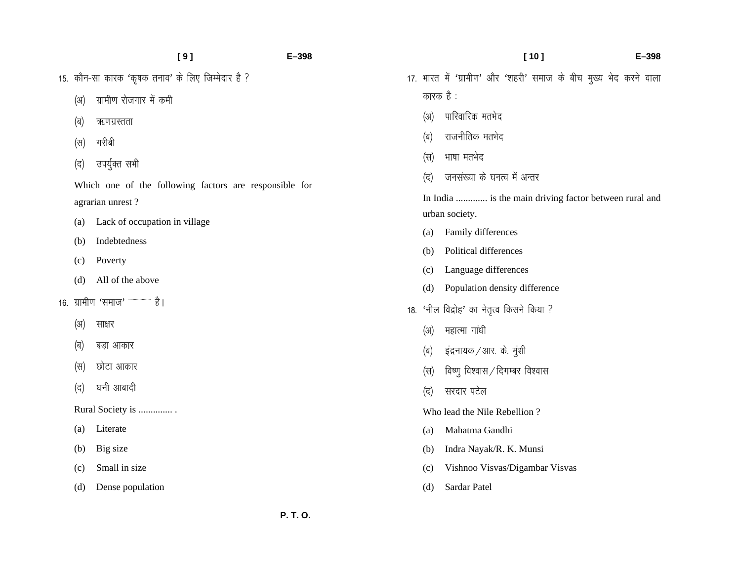15. कौन-सा कारक 'कृषक तनाव' के लिए जिम्मेदार है ?

- (अ) ग्रामीण रोजगार में कमी
- (ब) ऋणग्रस्तता
- (स) गरीबी
- (द) उपर्युक्त सभी

Which one of the following factors are responsible for agrarian unrest ?

- (a) Lack of occupation in village
- (b) Indebtedness
- (c) Poverty
- (d) All of the above
- 16. ग्रामीण 'समाज' <sup>-------------</sup> है।
	- (अ) साक्षर
	- (ब) बड़ा आकार
	- (स) छोटा आकार
	- (द) घनी आबादी

Rural Society is .............. .

- (a) Literate
- (b) Big size
- (c) Small in size
- (d) Dense population

 **[ 10 ] E–398**  17. भारत में 'ग्रामीण' और 'शहरी' समाज के बीच मुख्य भेद करने वाला कारक $\dot{\vec{c}}$  : (अ) पारिवारिक मतभेद (ब) राजनीतिक मतभेद (स) भाषा मतभेद (द) जनसंख्या के घनत्व में अन्तर In India ............. is the main driving factor between rural and urban society. (a) Family differences (b) Political differences (c) Language differences (d) Population density difference 18. 'नील विद्रोह' का नेतृत्व किसने किया ?  $(x)$  महात्मा गांधी  $\phi$  = इंद्रनायक / आर. के. मुशी  $(\nabla \cdot \vec{h})$  विष्णु विश्वास $\pi/2$ दिगम्बर विश्वास (द) सरदार पटेल Who lead the Nile Rebellion ?

- (a) Mahatma Gandhi
- (b) Indra Nayak/R. K. Munsi
- (c) Vishnoo Visvas/Digambar Visvas
- (d) Sardar Patel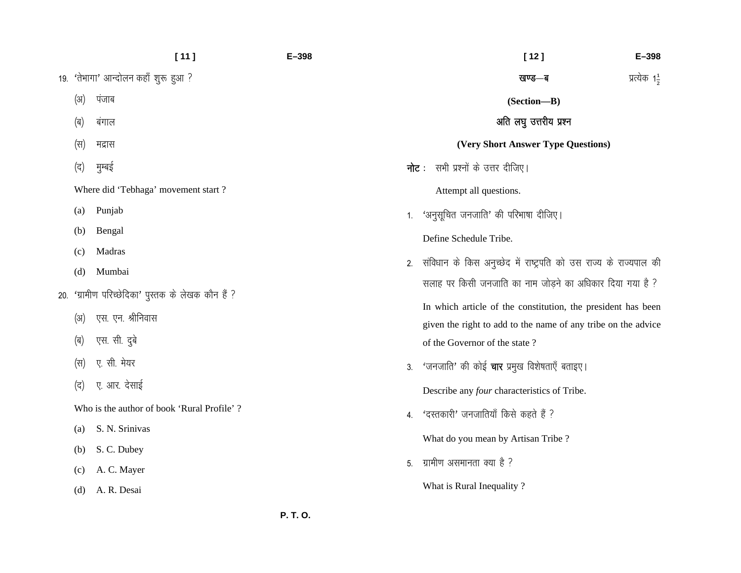|     |                                            | [11]                                           | $E - 398$ | $[12]$<br>$E - 398$                                                                                                           |
|-----|--------------------------------------------|------------------------------------------------|-----------|-------------------------------------------------------------------------------------------------------------------------------|
|     |                                            | 19. 'तेभागा' आन्दोलन कहाँ शुरू हुआ ?           |           | प्रत्येक 1 <u>4</u><br>खण्ड—ब                                                                                                 |
|     | (अ)                                        | पंजाब                                          |           | (Section-B)                                                                                                                   |
|     | (ब)                                        | बंगाल                                          |           | अति लघु उत्तरीय प्रश्न                                                                                                        |
|     | (स)                                        | मद्रास                                         |           | (Very Short Answer Type Questions)                                                                                            |
|     | (द)                                        | मुम्बई                                         |           | <b>नोट</b> : सभी प्रश्नों के उत्तर दीजिए।                                                                                     |
|     |                                            | Where did 'Tebhaga' movement start ?           |           | Attempt all questions.                                                                                                        |
|     | (a)                                        | Punjab                                         |           | 1. 'अनुसूचित जनजाति' की परिभाषा दीजिए।                                                                                        |
|     | (b)                                        | Bengal                                         |           | Define Schedule Tribe.                                                                                                        |
|     | (c)                                        | Madras                                         | 2.        | संविधान के किस अनुच्छेद में राष्ट्रपति को उस राज्य के राज्यपाल की                                                             |
|     | (d)                                        | Mumbai                                         |           | सलाह पर किसी जनजाति का नाम जोड़ने का अधिकार दिया गया है ?                                                                     |
| 20. |                                            | 'ग्रामीण परिच्छेदिका' पुस्तक के लेखक कौन हैं ? |           |                                                                                                                               |
|     | $(\mathfrak{A})$                           | एस. एन. श्रीनिवास                              |           | In which article of the constitution, the president has been<br>given the right to add to the name of any tribe on the advice |
|     | (ब)                                        | एस. सी. दुबे                                   |           | of the Governor of the state?                                                                                                 |
|     | (स)                                        | ए. सी. मेयर                                    |           | 3. 'जनजाति' की कोई चार प्रमुख विशेषताएँ बताइए।                                                                                |
|     | (द)                                        | ए. आर. देसाई                                   |           | Describe any four characteristics of Tribe.                                                                                   |
|     | Who is the author of book 'Rural Profile'? |                                                | 4.        | 'दस्तकारी' जनजातियाँ किसे कहते हैं ?                                                                                          |
|     | (a)                                        | S. N. Srinivas                                 |           |                                                                                                                               |
|     | (b)                                        | S. C. Dubey                                    |           | What do you mean by Artisan Tribe?                                                                                            |
|     | (c)                                        | A. C. Mayer                                    | 5.        | ग्रामीण असमानता क्या है ?                                                                                                     |
|     | (d)                                        | A. R. Desai                                    |           | What is Rural Inequality?                                                                                                     |
|     |                                            |                                                |           |                                                                                                                               |

 **P. T. O.**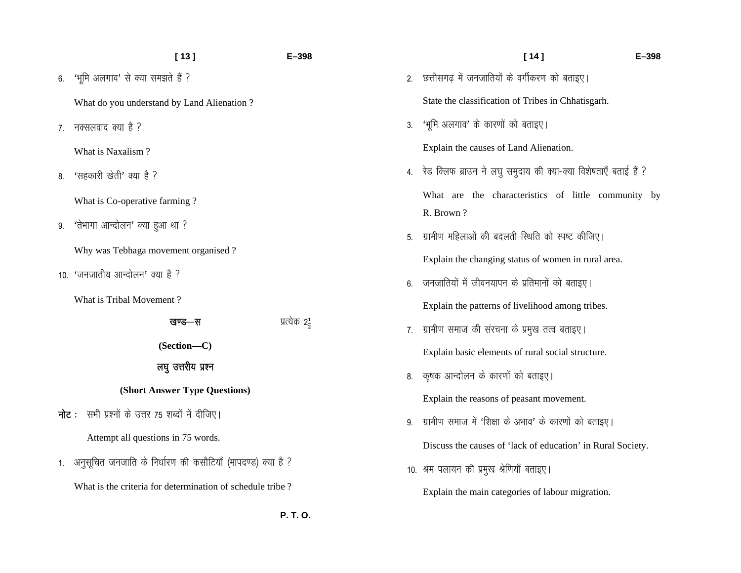|                | [13]<br>E-398                                               |  |  |  |  |  |  |
|----------------|-------------------------------------------------------------|--|--|--|--|--|--|
| 6.             | 'भूमि अलगाव' से क्या समझते हैं ?                            |  |  |  |  |  |  |
|                | What do you understand by Land Alienation?                  |  |  |  |  |  |  |
| 7 <sup>1</sup> | नक्सलवाद क्या है ?                                          |  |  |  |  |  |  |
|                | What is Naxalism?                                           |  |  |  |  |  |  |
|                | 8. 'सहकारी खेती' क्या है ?                                  |  |  |  |  |  |  |
|                | What is Co-operative farming?                               |  |  |  |  |  |  |
| 9.             | 'तेभागा आन्दोलन' क्या हुआ था ?                              |  |  |  |  |  |  |
|                | Why was Tebhaga movement organised?                         |  |  |  |  |  |  |
|                | 10. 'जनजातीय आन्दोलन' क्या है ?                             |  |  |  |  |  |  |
|                | What is Tribal Movement?                                    |  |  |  |  |  |  |
|                | प्रत्येक 2 <del>1</del><br>खण्ड—स                           |  |  |  |  |  |  |
|                | (Section-C)                                                 |  |  |  |  |  |  |
|                | लघु उत्तरीय प्रश्न                                          |  |  |  |  |  |  |
|                | (Short Answer Type Questions)                               |  |  |  |  |  |  |
|                | <b>नोट</b> :   सभी प्रश्नों के उत्तर 75 शब्दों में दीजिए।   |  |  |  |  |  |  |
|                | Attempt all questions in 75 words.                          |  |  |  |  |  |  |
| 1.             | अनुसूचित जनजाति के निर्धारण की कसौटियाँ (मापदण्ड) क्या है ? |  |  |  |  |  |  |
|                | What is the criteria for determination of schedule tribe?   |  |  |  |  |  |  |
|                |                                                             |  |  |  |  |  |  |

|    | [14]<br>E-398                                                          |
|----|------------------------------------------------------------------------|
| 2. | छत्तीसगढ़ में जनजातियों के वर्गीकरण को बताइए।                          |
|    | State the classification of Tribes in Chhatisgarh.                     |
| 3. | 'भूमि अलगाव' के कारणों को बताइए।                                       |
|    | Explain the causes of Land Alienation.                                 |
| 4. | रेड क्लिफ ब्राउन ने लघु समुदाय की क्या-क्या विशेषताएँ बताई हैं ?       |
|    | the characteristics of little community by<br>What<br>are<br>R. Brown? |
| 5. | ग्रामीण महिलाओं की बदलती स्थिति को स्पष्ट कीजिए।                       |
|    | Explain the changing status of women in rural area.                    |
| 6. | जनजातियों में जीवनयापन के प्रतिमानों को बताइए।                         |
|    | Explain the patterns of livelihood among tribes.                       |
| 7. | ग्रामीण समाज की संरचना के प्रमुख तत्व बताइए।                           |
|    | Explain basic elements of rural social structure.                      |
| 8. | कृषक आन्दोलन के कारणों को बताइए।                                       |
|    | Explain the reasons of peasant movement.                               |
| 9. | ग्रामीण समाज में 'शिक्षा के अभाव' के कारणों को बताइए।                  |
|    | Discuss the causes of 'lack of education' in Rural Society.            |
|    | 10. श्रम पलायन की प्रमुख श्रेणियाँ बताइए।                              |
|    | Explain the main categories of labour migration.                       |

 **P. T. O.**